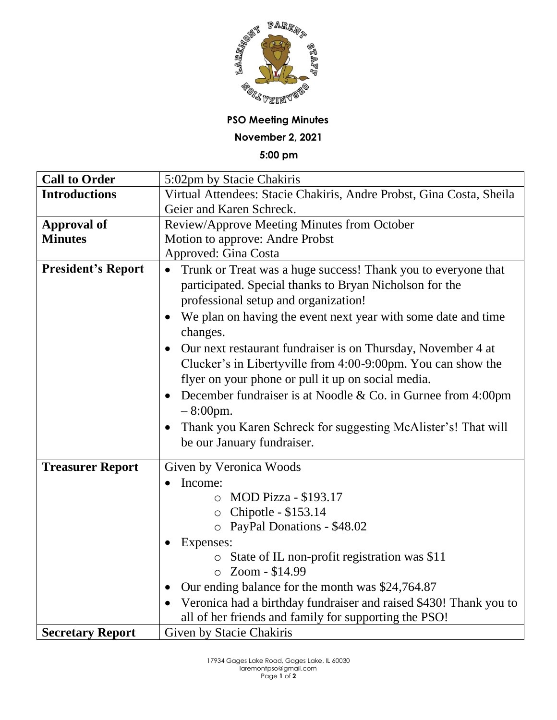

**PSO Meeting Minutes**

**November 2, 2021**

**5:00 pm**

| <b>Call to Order</b>      | 5:02pm by Stacie Chakiris                                                 |
|---------------------------|---------------------------------------------------------------------------|
| <b>Introductions</b>      | Virtual Attendees: Stacie Chakiris, Andre Probst, Gina Costa, Sheila      |
|                           | Geier and Karen Schreck.                                                  |
| <b>Approval of</b>        | Review/Approve Meeting Minutes from October                               |
| <b>Minutes</b>            | Motion to approve: Andre Probst                                           |
|                           | <b>Approved: Gina Costa</b>                                               |
| <b>President's Report</b> | Trunk or Treat was a huge success! Thank you to everyone that             |
|                           | participated. Special thanks to Bryan Nicholson for the                   |
|                           | professional setup and organization!                                      |
|                           | We plan on having the event next year with some date and time<br>changes. |
|                           | Our next restaurant fundraiser is on Thursday, November 4 at              |
|                           | Clucker's in Libertyville from 4:00-9:00pm. You can show the              |
|                           | flyer on your phone or pull it up on social media.                        |
|                           | December fundraiser is at Noodle & Co. in Gurnee from $4:00 \text{pm}$    |
|                           | $-8:00$ pm.                                                               |
|                           | Thank you Karen Schreck for suggesting McAlister's! That will             |
|                           | be our January fundraiser.                                                |
|                           |                                                                           |
| <b>Treasurer Report</b>   | Given by Veronica Woods                                                   |
|                           | Income:                                                                   |
|                           | <b>MOD Pizza - \$193.17</b><br>$\circ$                                    |
|                           | $\circ$ Chipotle - \$153.14                                               |
|                           | o PayPal Donations - \$48.02                                              |
|                           | Expenses:                                                                 |
|                           | o State of IL non-profit registration was \$11                            |
|                           | Zoom - \$14.99<br>$\circ$                                                 |
|                           | Our ending balance for the month was \$24,764.87<br>$\bullet$             |
|                           | Veronica had a birthday fundraiser and raised \$430! Thank you to         |
|                           | all of her friends and family for supporting the PSO!                     |
| <b>Secretary Report</b>   | Given by Stacie Chakiris                                                  |